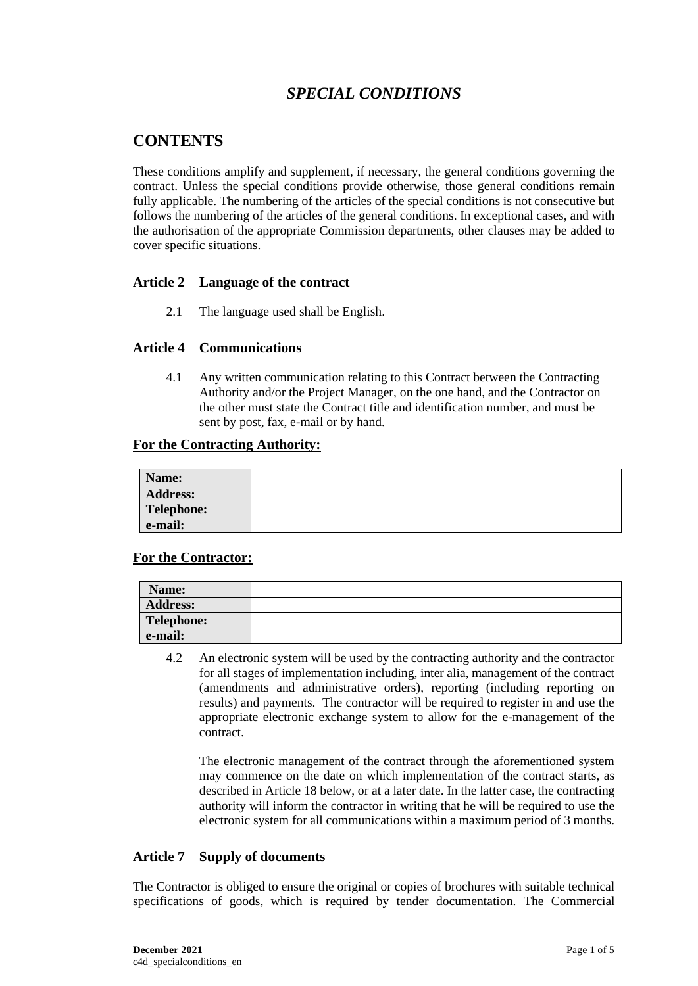# *SPECIAL CONDITIONS*

# **CONTENTS**

These conditions amplify and supplement, if necessary, the general conditions governing the contract. Unless the special conditions provide otherwise, those general conditions remain fully applicable. The numbering of the articles of the special conditions is not consecutive but follows the numbering of the articles of the general conditions. In exceptional cases, and with the authorisation of the appropriate Commission departments, other clauses may be added to cover specific situations.

# **Article 2 Language of the contract**

2.1 The language used shall be English.

# **Article 4 Communications**

4.1 Any written communication relating to this Contract between the Contracting Authority and/or the Project Manager, on the one hand, and the Contractor on the other must state the Contract title and identification number, and must be sent by post, fax, e-mail or by hand.

#### **For the Contracting Authority:**

| Name:           |  |
|-----------------|--|
| <b>Address:</b> |  |
| Telephone:      |  |
| e-mail:         |  |

# **For the Contractor:**

| Name:           |  |
|-----------------|--|
| <b>Address:</b> |  |
| Telephone:      |  |
| e-mail:         |  |

4.2 An electronic system will be used by the contracting authority and the contractor for all stages of implementation including, inter alia, management of the contract (amendments and administrative orders), reporting (including reporting on results) and payments. The contractor will be required to register in and use the appropriate electronic exchange system to allow for the e-management of the contract.

The electronic management of the contract through the aforementioned system may commence on the date on which implementation of the contract starts, as described in Article 18 below, or at a later date. In the latter case, the contracting authority will inform the contractor in writing that he will be required to use the electronic system for all communications within a maximum period of 3 months.

# **Article 7 Supply of documents**

The Contractor is obliged to ensure the original or copies of brochures with suitable technical specifications of goods, which is required by tender documentation. The Commercial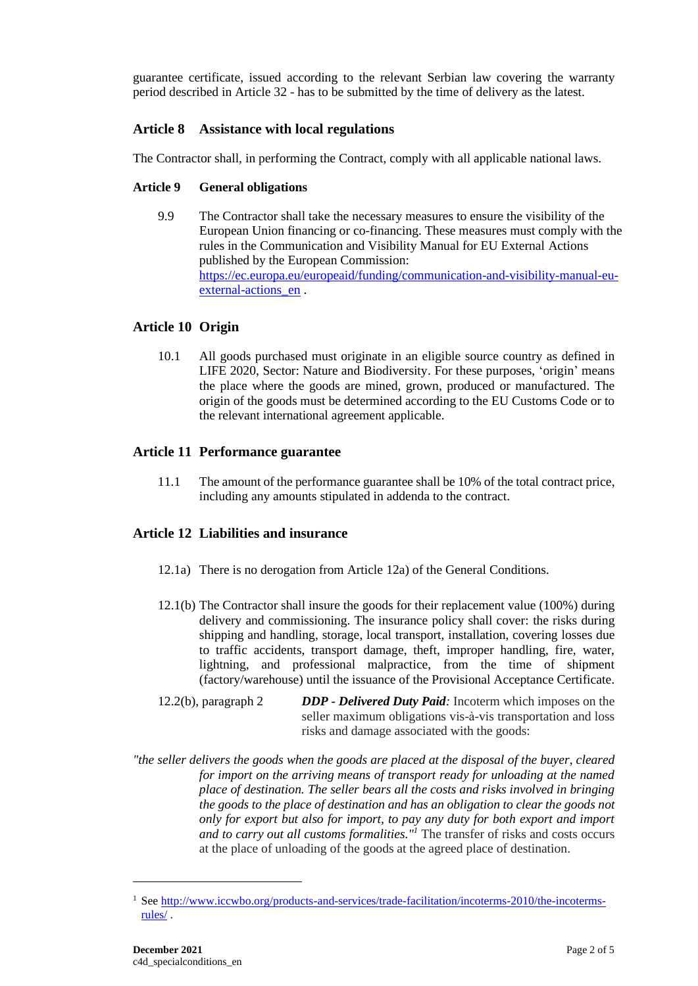guarantee certificate, issued according to the relevant Serbian law covering the warranty period described in Article 32 - has to be submitted by the time of delivery as the latest.

# **Article 8 Assistance with local regulations**

The Contractor shall, in performing the Contract, comply with all applicable national laws.

# **Article 9 General obligations**

9.9 The Contractor shall take the necessary measures to ensure the visibility of the European Union financing or co-financing. These measures must comply with the rules in the Communication and Visibility Manual for EU External Actions published by the European Commission: [https://ec.europa.eu/europeaid/funding/communication-and-visibility-manual-eu](https://ec.europa.eu/europeaid/funding/communication-and-visibility-manual-eu-external-actions_en)external-actions en .

# **Article 10 Origin**

10.1 All goods purchased must originate in an eligible source country as defined in LIFE 2020, Sector: Nature and Biodiversity. For these purposes, 'origin' means the place where the goods are mined, grown, produced or manufactured. The origin of the goods must be determined according to the EU Customs Code or to the relevant international agreement applicable.

# **Article 11 Performance guarantee**

11.1 The amount of the performance guarantee shall be 10% of the total contract price, including any amounts stipulated in addenda to the contract.

# **Article 12 Liabilities and insurance**

- 12.1a) There is no derogation from Article 12a) of the General Conditions.
- 12.1(b) The Contractor shall insure the goods for their replacement value (100%) during delivery and commissioning. The insurance policy shall cover: the risks during shipping and handling, storage, local transport, installation, covering losses due to traffic accidents, transport damage, theft, improper handling, fire, water, lightning, and professional malpractice, from the time of shipment (factory/warehouse) until the issuance of the Provisional Acceptance Certificate.
- 12.2(b), paragraph 2 *DDP - Delivered Duty Paid:* Incoterm which imposes on the seller maximum obligations vis-à-vis transportation and loss risks and damage associated with the goods:
- *"the seller delivers the goods when the goods are placed at the disposal of the buyer, cleared for import on the arriving means of transport ready for unloading at the named place of destination. The seller bears all the costs and risks involved in bringing the goods to the place of destination and has an obligation to clear the goods not only for export but also for import, to pay any duty for both export and import and to carry out all customs formalities."<sup>1</sup>* The transfer of risks and costs occurs at the place of unloading of the goods at the agreed place of destination.

<sup>&</sup>lt;sup>1</sup> See [http://www.iccwbo.org/products-and-services/trade-facilitation/incoterms-2010/the-incoterms](http://www.iccwbo.org/products-and-services/trade-facilitation/incoterms-2010/the-incoterms-rules/)[rules/](http://www.iccwbo.org/products-and-services/trade-facilitation/incoterms-2010/the-incoterms-rules/) .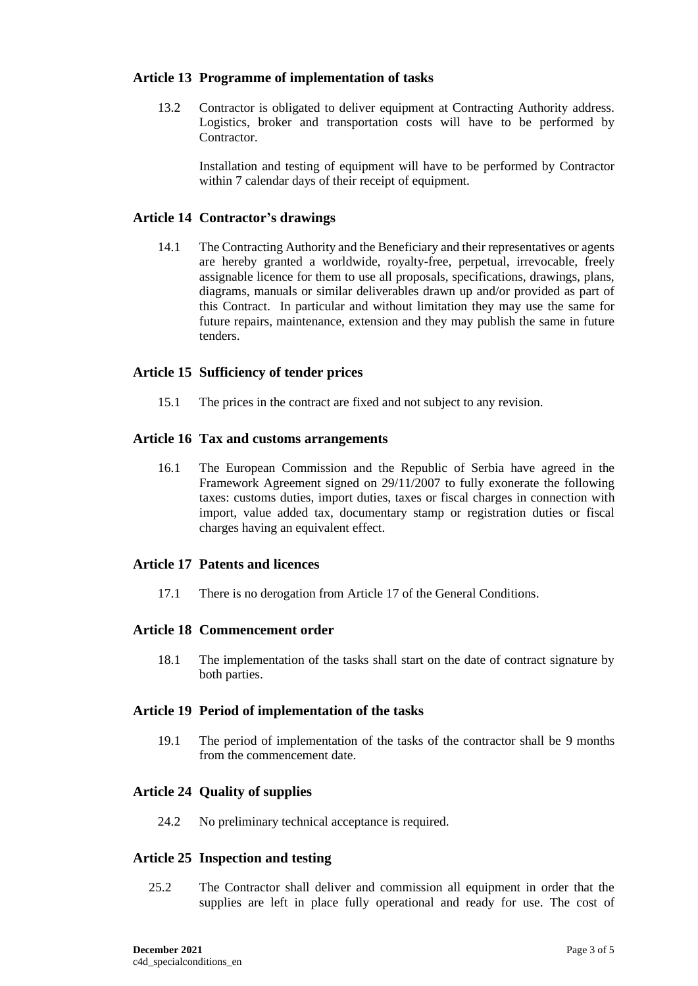# **Article 13 Programme of implementation of tasks**

13.2 Contractor is obligated to deliver equipment at Contracting Authority address. Logistics, broker and transportation costs will have to be performed by **Contractor** 

Installation and testing of equipment will have to be performed by Contractor within 7 calendar days of their receipt of equipment.

### **Article 14 Contractor's drawings**

14.1 The Contracting Authority and the Beneficiary and their representatives or agents are hereby granted a worldwide, royalty-free, perpetual, irrevocable, freely assignable licence for them to use all proposals, specifications, drawings, plans, diagrams, manuals or similar deliverables drawn up and/or provided as part of this Contract. In particular and without limitation they may use the same for future repairs, maintenance, extension and they may publish the same in future tenders.

#### **Article 15 Sufficiency of tender prices**

15.1 The prices in the contract are fixed and not subject to any revision.

#### **Article 16 Tax and customs arrangements**

16.1 The European Commission and the Republic of Serbia have agreed in the Framework Agreement signed on 29/11/2007 to fully exonerate the following taxes: customs duties, import duties, taxes or fiscal charges in connection with import, value added tax, documentary stamp or registration duties or fiscal charges having an equivalent effect.

#### **Article 17 Patents and licences**

17.1 There is no derogation from Article 17 of the General Conditions.

#### **Article 18 Commencement order**

18.1 The implementation of the tasks shall start on the date of contract signature by both parties.

### **Article 19 Period of implementation of the tasks**

19.1 The period of implementation of the tasks of the contractor shall be 9 months from the commencement date.

#### **Article 24 Quality of supplies**

24.2 No preliminary technical acceptance is required.

#### **Article 25 Inspection and testing**

25.2 The Contractor shall deliver and commission all equipment in order that the supplies are left in place fully operational and ready for use. The cost of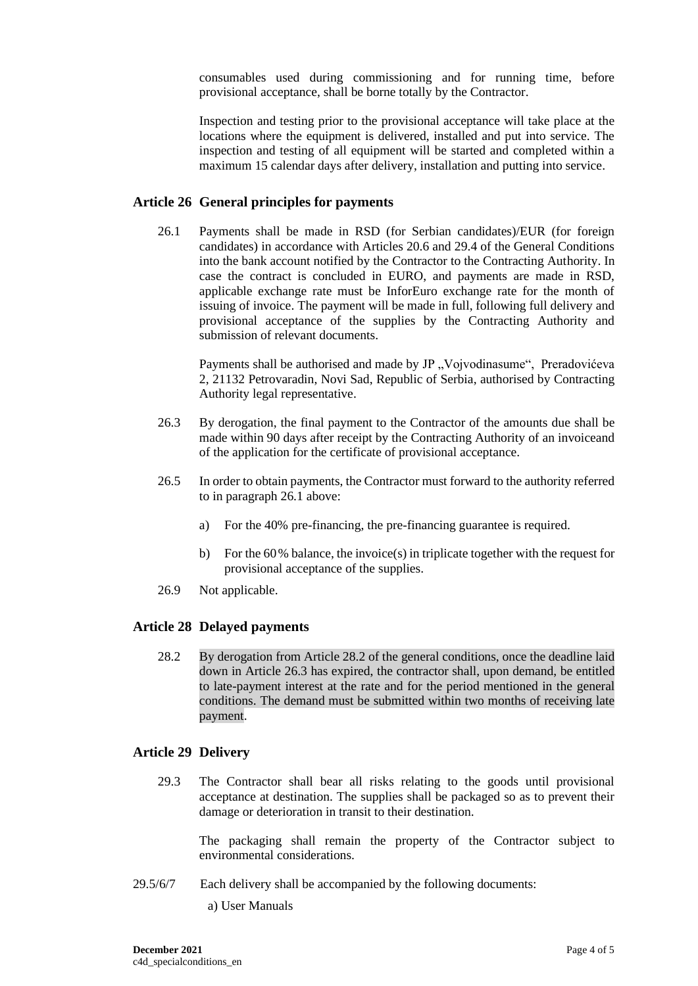consumables used during commissioning and for running time, before provisional acceptance, shall be borne totally by the Contractor.

Inspection and testing prior to the provisional acceptance will take place at the locations where the equipment is delivered, installed and put into service. The inspection and testing of all equipment will be started and completed within a maximum 15 calendar days after delivery, installation and putting into service.

# **Article 26 General principles for payments**

26.1 Payments shall be made in RSD (for Serbian candidates)/EUR (for foreign candidates) in accordance with Articles 20.6 and 29.4 of the General Conditions into the bank account notified by the Contractor to the Contracting Authority. In case the contract is concluded in EURO, and payments are made in RSD, applicable exchange rate must be InforEuro exchange rate for the month of issuing of invoice. The payment will be made in full, following full delivery and provisional acceptance of the supplies by the Contracting Authority and submission of relevant documents.

Payments shall be authorised and made by JP "Vojvodinasume", Preradovićeva 2, 21132 Petrovaradin, Novi Sad, Republic of Serbia, authorised by Contracting Authority legal representative.

- 26.3 By derogation, the final payment to the Contractor of the amounts due shall be made within 90 days after receipt by the Contracting Authority of an invoiceand of the application for the certificate of provisional acceptance.
- 26.5 In order to obtain payments, the Contractor must forward to the authority referred to in paragraph 26.1 above:
	- a) For the 40% pre-financing, the pre-financing guarantee is required.
	- b) For the 60% balance, the invoice(s) in triplicate together with the request for provisional acceptance of the supplies.
- 26.9 Not applicable.

# **Article 28 Delayed payments**

28.2 By derogation from Article 28.2 of the general conditions, once the deadline laid down in Article 26.3 has expired, the contractor shall, upon demand, be entitled to late-payment interest at the rate and for the period mentioned in the general conditions. The demand must be submitted within two months of receiving late payment.

# **Article 29 Delivery**

29.3 The Contractor shall bear all risks relating to the goods until provisional acceptance at destination. The supplies shall be packaged so as to prevent their damage or deterioration in transit to their destination.

The packaging shall remain the property of the Contractor subject to environmental considerations.

- 29.5/6/7 Each delivery shall be accompanied by the following documents:
	- a) User Manuals